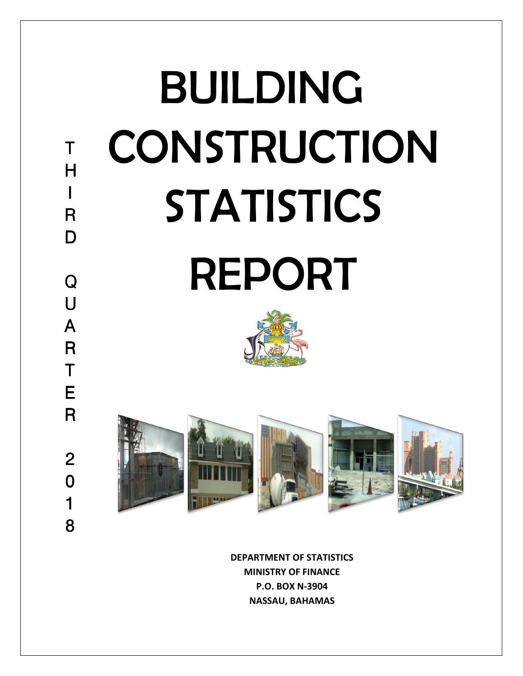

**DEPARTMENT OF STATISTICS MINISTRY OF FINANCE P.O. BOX N-3904 NASSAU, BAHAMAS**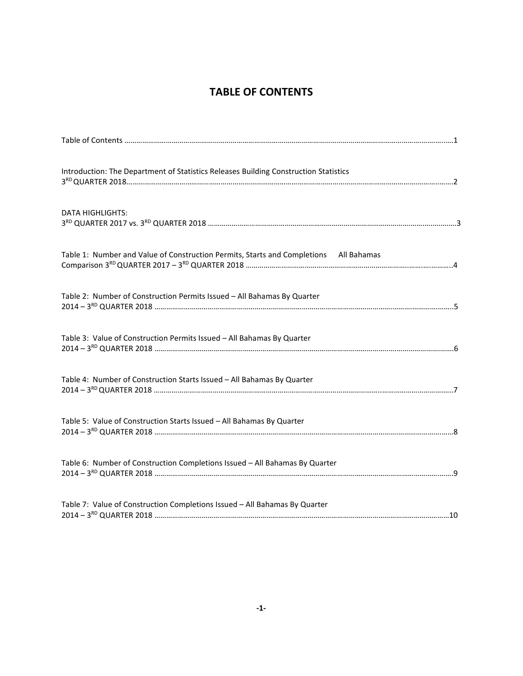## **TABLE OF CONTENTS**

| Introduction: The Department of Statistics Releases Building Construction Statistics  |
|---------------------------------------------------------------------------------------|
| <b>DATA HIGHLIGHTS:</b>                                                               |
| Table 1: Number and Value of Construction Permits, Starts and Completions All Bahamas |
| Table 2: Number of Construction Permits Issued - All Bahamas By Quarter               |
| Table 3: Value of Construction Permits Issued - All Bahamas By Quarter                |
| Table 4: Number of Construction Starts Issued - All Bahamas By Quarter                |
| Table 5: Value of Construction Starts Issued - All Bahamas By Quarter                 |
| Table 6: Number of Construction Completions Issued - All Bahamas By Quarter           |
| Table 7: Value of Construction Completions Issued - All Bahamas By Quarter            |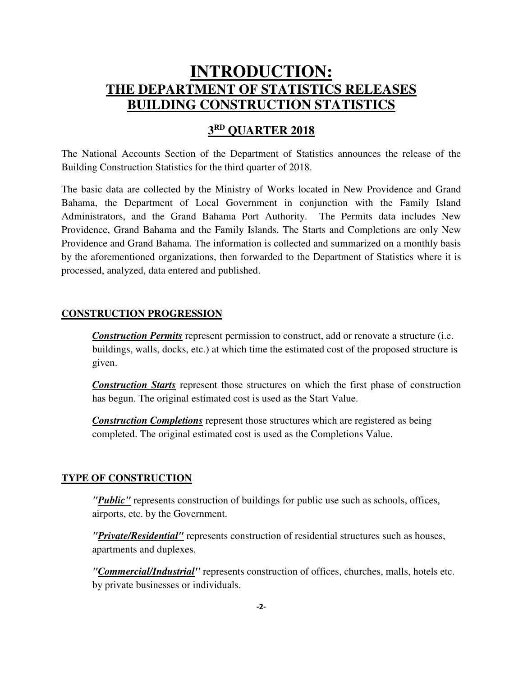## **INTRODUCTION: THE DEPARTMENT OF STATISTICS RELEASES BUILDING CONSTRUCTION STATISTICS**

## **3 RD QUARTER 2018**

The National Accounts Section of the Department of Statistics announces the release of the Building Construction Statistics for the third quarter of 2018.

The basic data are collected by the Ministry of Works located in New Providence and Grand Bahama, the Department of Local Government in conjunction with the Family Island Administrators, and the Grand Bahama Port Authority. The Permits data includes New Providence, Grand Bahama and the Family Islands. The Starts and Completions are only New Providence and Grand Bahama. The information is collected and summarized on a monthly basis by the aforementioned organizations, then forwarded to the Department of Statistics where it is processed, analyzed, data entered and published.

### **CONSTRUCTION PROGRESSION**

*Construction Permits* represent permission to construct, add or renovate a structure (i.e. buildings, walls, docks, etc.) at which time the estimated cost of the proposed structure is given.

*Construction Starts* represent those structures on which the first phase of construction has begun. The original estimated cost is used as the Start Value.

*Construction Completions* represent those structures which are registered as being completed. The original estimated cost is used as the Completions Value.

### **TYPE OF CONSTRUCTION**

*"Public"* represents construction of buildings for public use such as schools, offices, airports, etc. by the Government.

*"Private/Residential"* represents construction of residential structures such as houses, apartments and duplexes.

*"Commercial/Industrial"* represents construction of offices, churches, malls, hotels etc. by private businesses or individuals.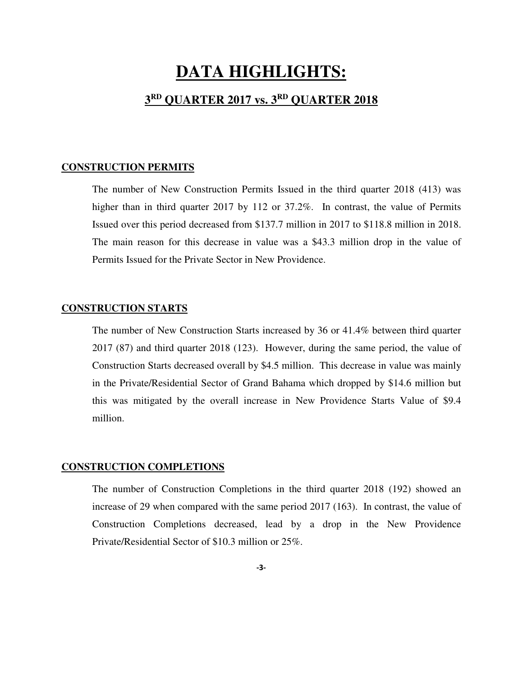# **DATA HIGHLIGHTS:**

### **3 RD QUARTER 2017 vs. 3RD QUARTER 2018**

#### **CONSTRUCTION PERMITS**

The number of New Construction Permits Issued in the third quarter 2018 (413) was higher than in third quarter 2017 by 112 or 37.2%. In contrast, the value of Permits Issued over this period decreased from \$137.7 million in 2017 to \$118.8 million in 2018. The main reason for this decrease in value was a \$43.3 million drop in the value of Permits Issued for the Private Sector in New Providence.

### **CONSTRUCTION STARTS**

The number of New Construction Starts increased by 36 or 41.4% between third quarter 2017 (87) and third quarter 2018 (123). However, during the same period, the value of Construction Starts decreased overall by \$4.5 million. This decrease in value was mainly in the Private/Residential Sector of Grand Bahama which dropped by \$14.6 million but this was mitigated by the overall increase in New Providence Starts Value of \$9.4 million.

### **CONSTRUCTION COMPLETIONS**

The number of Construction Completions in the third quarter 2018 (192) showed an increase of 29 when compared with the same period 2017 (163). In contrast, the value of Construction Completions decreased, lead by a drop in the New Providence Private/Residential Sector of \$10.3 million or 25%.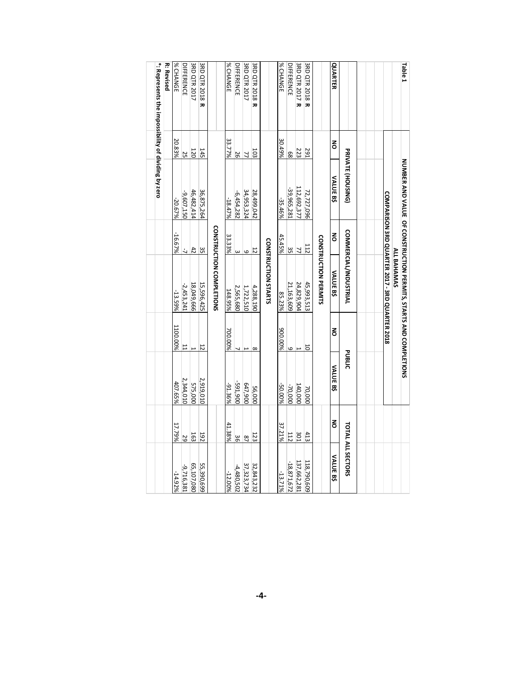| Talde <sub>1</sub>                                  |                |                   |                | <b>NONDER SHORE CONSTRUCTION PERIMITION STARTS DONE CONDET TO THE SHORE CONSTRUCT</b> |                          |                 |                |                   |
|-----------------------------------------------------|----------------|-------------------|----------------|---------------------------------------------------------------------------------------|--------------------------|-----------------|----------------|-------------------|
|                                                     |                |                   |                | <b>COMPARISON 3RD QUARTER 2017 - 3RD QUARTER 2018</b><br><b>ALL BAHAMAS</b>           |                          |                 |                |                   |
|                                                     |                |                   |                |                                                                                       |                          |                 |                |                   |
|                                                     |                |                   |                |                                                                                       |                          |                 |                |                   |
|                                                     |                | PRIVATE (HOUSING) |                | <b>COMMERCIAL/INDUSTRIAL</b>                                                          |                          | <b>PUBLIC</b>   |                | TOTAL ALL SECTORS |
| QUARTER                                             | š              | VALUE B\$         | š              | <b>VALUE B\$</b>                                                                      | š                        | <b>VALUE BS</b> | š              | <b>VALUE BS</b>   |
|                                                     |                |                   |                | <b>CONSTRUCTION PERMITS</b>                                                           |                          |                 |                |                   |
| <b>3RD QTR 2018 R</b>                               | 291            | 72,727,096        |                | 45,993,513                                                                            | 5                        | 70,000          | 413            | 118,790,609       |
| <b>3RD QTR 2017 R</b>                               | 223            | 112,692,377       | $\frac{11}{7}$ | 24,829,904                                                                            | $\overline{\phantom{0}}$ | 140,000         | 301            | 137,662,281       |
| <b>DIFFERENCE</b>                                   | 89             | -39,965,281       |                | 21,163,609                                                                            | 9                        | -70,000         | 112            | $-18,871,672$     |
| % CHANGE                                            | 30.49%         | -35.46%           | 45.45%         | 85.23%                                                                                | 900.00%                  | -50.00%         | 37.21%         | $-13.71\%$        |
|                                                     |                |                   |                | <b>CONSTRUCTION STARTS</b>                                                            |                          |                 |                |                   |
| <b>3RD QTR 2018 R</b>                               | 103            | 28,499,042        | $\overline{5}$ | 4,288,190                                                                             | $\infty$                 | 56,000          | 123            | 32,843,232        |
| 3RD QTR 2017                                        | $\overline{7}$ | 34,953,324        | $\circ$        | 1,722,510                                                                             |                          | 647,900         | $\overline{a}$ | 37,323,734        |
| <b>DIFFERENCE</b>                                   | 26             | $-6,454,282$      | $\omega$       | 2,565,680                                                                             |                          | -591,900        | 36             | $-4,480,502$      |
| % CHANGE                                            | 33.77%         | $-18.47\%$        | 33.33%         | 148.95%                                                                               | 700.00%                  | -91.36%         | 41.38%         | $-12.00\%$        |
|                                                     |                |                   |                | <b>CONSTRUCTION COMPLETIONS</b>                                                       |                          |                 |                |                   |
| <b>3RD QTR 2018 R</b>                               | 145            | 36,875,264        | ပ္ပ            | 15,596,425                                                                            | $\overline{5}$           | 2,919,010       | <b>Z6T</b>     | 55,390,699        |
| <b>3RD QTR 2017</b>                                 | 120            | 46,482,414        | 42             | 18,049,666                                                                            | H                        | 575,000         | 163            | 65,107,080        |
| <b>DIFFERENCE</b>                                   | 25             | -9,607,150        | Ź,             | $-2,453,241$                                                                          | 11                       | 2,344,010       | 29             | -9,716,381        |
| % CHANGE                                            | 20.83%         | -20.67%           | -16.67%        | -13.59%                                                                               | 1100.00%                 | 407.65%         | 17.79%         | -14.92%           |
| <b>R: Revised</b>                                   |                |                   |                |                                                                                       |                          |                 |                |                   |
| *: Represents the impossibility of dividing by zero |                |                   |                |                                                                                       |                          |                 |                |                   |
|                                                     |                |                   |                |                                                                                       |                          |                 |                |                   |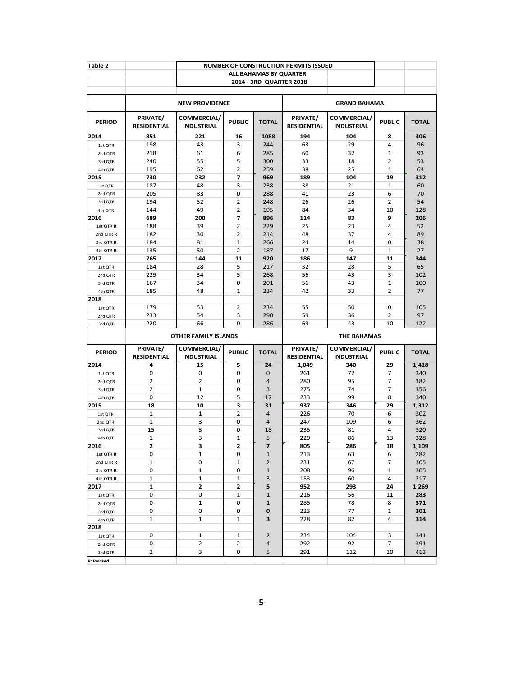| Table 2                |                                |                                  |                                  |                         | <b>NUMBER OF CONSTRUCTION PERMITS ISSUED</b>    |                                  |                |              |  |  |
|------------------------|--------------------------------|----------------------------------|----------------------------------|-------------------------|-------------------------------------------------|----------------------------------|----------------|--------------|--|--|
|                        |                                |                                  |                                  | ALL BAHAMAS BY QUARTER  |                                                 |                                  |                |              |  |  |
|                        |                                |                                  |                                  | 2014 - 3RD QUARTER 2018 |                                                 |                                  |                |              |  |  |
|                        |                                |                                  |                                  |                         |                                                 |                                  |                |              |  |  |
|                        |                                | <b>NEW PROVIDENCE</b>            |                                  |                         |                                                 | <b>GRAND BAHAMA</b>              |                |              |  |  |
| <b>PERIOD</b>          | PRIVATE/<br><b>RESIDENTIAL</b> | COMMERCIAL/<br><b>INDUSTRIAL</b> | <b>PUBLIC</b>                    | <b>TOTAL</b>            | PRIVATE/<br><b>RESIDENTIAL</b>                  | COMMERCIAL/<br><b>INDUSTRIAL</b> | <b>PUBLIC</b>  | <b>TOTAL</b> |  |  |
| 2014                   | 851                            | 221                              | 16                               | 1088                    | 194                                             | 104                              | 8              | 306          |  |  |
| 1st OTR                | 198                            | 43                               | 3                                | 244                     | 63                                              | 29                               | 4              | 96           |  |  |
| 2nd QTR                | 218                            | 61                               | 6                                | 285                     | 60                                              | 32                               | 1              | 93           |  |  |
| 3rd QTR                | 240                            | 55                               | 5                                | 300                     | 33                                              | 18                               | $\overline{2}$ | 53           |  |  |
| 4th QTR                | 195                            | 62                               | $\overline{2}$                   | 259                     | 38                                              | 25                               | 1              | 64           |  |  |
| 2015                   | 730                            | 232                              | $\overline{7}$                   | 969                     | 189                                             | 104                              | 19             | 312          |  |  |
| 1st QTR                | 187                            | 48                               | 3                                | 238                     | 38                                              | 21                               | 1              | 60           |  |  |
| 2nd QTR                | 205                            | 83                               | 0                                | 288                     | 41                                              | 23                               | 6              | 70           |  |  |
| 3rd QTR                | 194                            | 52                               | $\overline{2}$                   | 248                     | 26                                              | 26                               | $\overline{2}$ | 54           |  |  |
| 4th QTR                | 144                            | 49                               | $\overline{2}$                   | 195                     | 84                                              | 34                               | 10             | 128          |  |  |
| 2016                   | 689                            | 200                              | $\overline{\phantom{a}}$         | 896                     | 114                                             | 83                               | 9              | 206          |  |  |
| 1st QTR R              | 188                            | 39                               | $\overline{2}$<br>$\overline{2}$ | 229                     | 25                                              | 23                               | 4<br>4         | 52           |  |  |
| 2nd QTR R              | 182                            | 30                               |                                  | 214                     | 48                                              | 37                               |                | 89           |  |  |
| 3rd QTR R<br>4th QTR R | 184<br>135                     | 81<br>50                         | $\mathbf{1}$<br>2                | 266<br>187              | 24<br>17                                        | 14<br>9                          | 0<br>1         | 38<br>27     |  |  |
| 2017                   | 765                            | 144                              | 11                               | 920                     | 186                                             | 147                              | 11             | 344          |  |  |
| 1st QTR                | 184                            | 28                               | 5                                | 217                     | 32                                              | 28                               | 5              | 65           |  |  |
| 2nd QTR                | 229                            | 34                               | 5                                | 268                     | 56                                              | 43                               | 3              | 102          |  |  |
| 3rd QTR                | 167                            | 34                               | 0                                | 201                     | 56                                              | 43                               | 1              | 100          |  |  |
| 4th QTR                | 185                            | 48                               | $\mathbf{1}$                     | 234                     | 42                                              | 33                               | 2              | 77           |  |  |
| 2018                   |                                |                                  |                                  |                         |                                                 |                                  |                |              |  |  |
| 1st QTR                | 179                            | 53                               | 2                                | 234                     | 55                                              | 50                               | 0              | 105          |  |  |
| 2nd QTR                | 233                            | 54                               | 3                                | 290                     | 59                                              | 36                               | $\overline{2}$ | 97           |  |  |
| 3rd QTR                | 220                            | 66                               | 0                                | 286                     | 69                                              | 43                               | 10             | 122          |  |  |
|                        |                                | <b>OTHER FAMILY ISLANDS</b>      |                                  |                         |                                                 | <b>THE BAHAMAS</b>               |                |              |  |  |
| <b>PERIOD</b>          | PRIVATE/                       | COMMERCIAL/                      | <b>PUBLIC</b>                    | <b>TOTAL</b>            | PRIVATE/<br><b>COMMERCIAL/</b><br><b>PUBLIC</b> |                                  |                |              |  |  |
|                        | <b>RESIDENTIAL</b>             | INDUSTRIAL                       |                                  |                         | <b>RESIDENTIAL</b>                              | <b>INDUSTRIAL</b>                |                | <b>TOTAL</b> |  |  |
| 2014                   | 4                              | 15                               | 5                                | 24                      | 1,049                                           | 340                              | 29             | 1,418        |  |  |
| 1st QTR                | 0                              | 0                                | 0                                | $\mathbf 0$             | 261                                             | 72                               | 7              | 340          |  |  |
| 2nd QTR                | $\overline{2}$                 | $\overline{2}$                   | 0                                | $\overline{4}$          | 280                                             | 95                               | 7              | 382          |  |  |
| 3rd QTR                | $\overline{2}$                 | $\mathbf 1$                      | 0                                | 3                       | 275                                             | 74                               | 7              | 356          |  |  |
| 4th QTR                | 0                              | 12                               | 5                                | 17                      | 233                                             | 99                               | 8              | 340          |  |  |
| 2015                   | 18                             | 10                               | 3<br>$\overline{2}$              | 31<br>4                 | 937                                             | 346                              | 29             | 1,312        |  |  |
| 1st QTR                | 1<br>1                         | 1<br>3                           | $\mathbf 0$                      | $\overline{4}$          | 226<br>247                                      | 70<br>109                        | 6<br>6         | 302<br>362   |  |  |
| 2nd QTR<br>3rd QTR     | 15                             | 3                                | 0                                | 18                      | 235                                             | 81                               | 4              | 320          |  |  |
| 4th QTR                | $\mathbf{1}$                   | 3                                | $\mathbf{1}$                     | 5                       | 229                                             | 86                               | 13             | 328          |  |  |
| 2016                   | 2                              | 3                                | 2                                | 7                       | 805                                             | 286                              | 18             | 1,109        |  |  |
| 1st QTR R              | 0                              | $\mathbf{1}$                     | 0                                | $\mathbf 1$             | 213                                             | 63                               | 6              | 282          |  |  |
| 2nd QTR R              | $\mathbf 1$                    | 0                                | $\mathbf{1}$                     | $\overline{2}$          | 231                                             | 67                               | 7              | 305          |  |  |
| 3rd QTR R              | 0                              | $\mathbf 1$                      | 0                                | $\mathbf{1}$            | 208                                             | 96                               | $\mathbf{1}$   | 305          |  |  |
| 4th QTR R              | $\mathbf{1}$                   | $\mathbf 1$                      | $\mathbf 1$                      | 3                       | 153                                             | 60                               | 4              | 217          |  |  |
| 2017                   | 1                              | 2                                | $\mathbf{2}$                     | 5                       | 952                                             | 293                              | 24             | 1,269        |  |  |
| 1st QTR                | 0                              | 0                                | $\mathbf{1}$                     | $\mathbf{1}$            | 216                                             | 56                               | 11             | 283          |  |  |
| 2nd QTR                | 0                              | $\mathbf 1$                      | 0                                | 1                       | 285                                             | 78                               | 8              | 371          |  |  |
| 3rd QTR                | 0                              | 0                                | 0                                | 0                       | 223                                             | 77                               | $\mathbf{1}$   | 301          |  |  |
| 4th QTR                | $\mathbf{1}$                   | $\mathbf{1}$                     | $\mathbf{1}$                     | 3                       | 228                                             | 82                               | 4              | 314          |  |  |
| 2018                   |                                |                                  |                                  |                         |                                                 |                                  |                |              |  |  |
| 1st QTR                | 0                              | $\mathbf{1}$                     | 1                                | $\overline{2}$          | 234                                             | 104                              | 3              | 341          |  |  |
| 2nd QTR                | 0                              | $\overline{2}$                   | 2                                | 4                       | 292                                             | 92                               | 7              | 391          |  |  |
| 3rd QTR                | $\overline{2}$                 | 3                                | 0                                | 5                       | 291                                             | 112                              | 10             | 413          |  |  |
| <b>R: Revised</b>      |                                |                                  |                                  |                         |                                                 |                                  |                |              |  |  |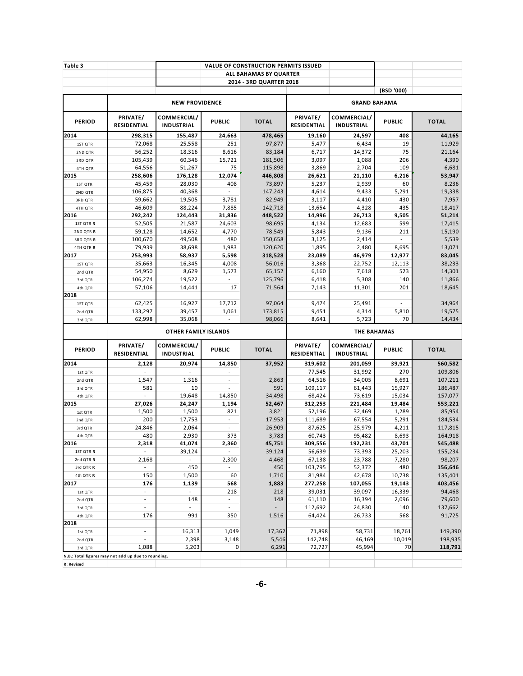| <b>NEW PROVIDENCE</b><br>COMMERCIAL/<br><b>PUBLIC</b><br>155,487<br>24,663<br>25,558<br>251<br>18,316<br>8,616<br>60,346<br>15,721<br>51,267<br>75<br>176,128<br>12,074<br>28,030<br>408<br>40,368<br>$\overline{\phantom{a}}$<br>19,505<br>3,781<br>7,885<br>88,224<br>124,443<br>31,836<br>21,587<br>24,603<br>14,652<br>4,770<br>49,508<br>480<br>1,983<br>38,698<br>58,937<br>5,598<br>16,345<br>4,008<br>8,629<br>1,573<br>19,522<br>14,441<br>17<br>16,927<br>17,712<br>39,457<br>1,061 | ALL BAHAMAS BY QUARTER<br>2014 - 3RD QUARTER 2018<br><b>TOTAL</b><br>478,465<br>97,877<br>83,184<br>181,506<br>115,898<br>446,808<br>73,897<br>147,243<br>82,949<br>142,718<br>448,522<br>98,695<br>78,549<br>150,658<br>120,620<br>318,528<br>56,016<br>65,152<br>125,796<br>71,564<br>97,064                                                     | PRIVATE/<br>RESIDENTIAL<br>19,160<br>5,477<br>6,717<br>3,097<br>3,869<br>26,621<br>5,237<br>4,614<br>3,117<br>13,654<br>14,996<br>4,134<br>5,843<br>3,125<br>1,895<br>23,089<br>3,368<br>6,160<br>6,418<br>7,143 | <b>GRAND BAHAMA</b><br>COMMERCIAL/<br><b>INDUSTRIAL</b><br>24,597<br>6,434<br>14,372<br>1,088<br>2,704<br>21,110<br>2,939<br>9,433<br>4,410<br>4,328<br>26,713<br>12,683<br>9,136<br>2,414<br>2,480<br>46,979<br>22,752<br>7,618<br>5,308<br>11,301 | (BSD '000)<br><b>PUBLIC</b><br>408<br>19<br>75<br>206<br>109<br>6,216<br>60<br>5,291<br>430<br>435<br>9,505<br>599<br>211<br>÷,<br>8,695<br>12,977<br>12,113<br>523<br>140<br>201 | <b>TOTAL</b><br>44,165<br>11,929<br>21,164<br>4,390<br>6,681<br>53,947<br>8,236<br>19,338<br>7,957<br>18,417<br>51,214<br>17,415<br>15,190<br>5,539<br>13,071<br>83,045<br>38,233<br>14,301<br>11,866 |  |  |
|-----------------------------------------------------------------------------------------------------------------------------------------------------------------------------------------------------------------------------------------------------------------------------------------------------------------------------------------------------------------------------------------------------------------------------------------------------------------------------------------------|----------------------------------------------------------------------------------------------------------------------------------------------------------------------------------------------------------------------------------------------------------------------------------------------------------------------------------------------------|------------------------------------------------------------------------------------------------------------------------------------------------------------------------------------------------------------------|-----------------------------------------------------------------------------------------------------------------------------------------------------------------------------------------------------------------------------------------------------|-----------------------------------------------------------------------------------------------------------------------------------------------------------------------------------|-------------------------------------------------------------------------------------------------------------------------------------------------------------------------------------------------------|--|--|
|                                                                                                                                                                                                                                                                                                                                                                                                                                                                                               |                                                                                                                                                                                                                                                                                                                                                    |                                                                                                                                                                                                                  |                                                                                                                                                                                                                                                     |                                                                                                                                                                                   |                                                                                                                                                                                                       |  |  |
|                                                                                                                                                                                                                                                                                                                                                                                                                                                                                               |                                                                                                                                                                                                                                                                                                                                                    |                                                                                                                                                                                                                  |                                                                                                                                                                                                                                                     |                                                                                                                                                                                   |                                                                                                                                                                                                       |  |  |
|                                                                                                                                                                                                                                                                                                                                                                                                                                                                                               |                                                                                                                                                                                                                                                                                                                                                    |                                                                                                                                                                                                                  |                                                                                                                                                                                                                                                     |                                                                                                                                                                                   |                                                                                                                                                                                                       |  |  |
|                                                                                                                                                                                                                                                                                                                                                                                                                                                                                               |                                                                                                                                                                                                                                                                                                                                                    |                                                                                                                                                                                                                  |                                                                                                                                                                                                                                                     |                                                                                                                                                                                   |                                                                                                                                                                                                       |  |  |
|                                                                                                                                                                                                                                                                                                                                                                                                                                                                                               |                                                                                                                                                                                                                                                                                                                                                    |                                                                                                                                                                                                                  |                                                                                                                                                                                                                                                     |                                                                                                                                                                                   |                                                                                                                                                                                                       |  |  |
|                                                                                                                                                                                                                                                                                                                                                                                                                                                                                               |                                                                                                                                                                                                                                                                                                                                                    |                                                                                                                                                                                                                  |                                                                                                                                                                                                                                                     |                                                                                                                                                                                   |                                                                                                                                                                                                       |  |  |
|                                                                                                                                                                                                                                                                                                                                                                                                                                                                                               |                                                                                                                                                                                                                                                                                                                                                    |                                                                                                                                                                                                                  |                                                                                                                                                                                                                                                     |                                                                                                                                                                                   |                                                                                                                                                                                                       |  |  |
|                                                                                                                                                                                                                                                                                                                                                                                                                                                                                               |                                                                                                                                                                                                                                                                                                                                                    |                                                                                                                                                                                                                  |                                                                                                                                                                                                                                                     |                                                                                                                                                                                   |                                                                                                                                                                                                       |  |  |
|                                                                                                                                                                                                                                                                                                                                                                                                                                                                                               |                                                                                                                                                                                                                                                                                                                                                    |                                                                                                                                                                                                                  |                                                                                                                                                                                                                                                     |                                                                                                                                                                                   |                                                                                                                                                                                                       |  |  |
|                                                                                                                                                                                                                                                                                                                                                                                                                                                                                               |                                                                                                                                                                                                                                                                                                                                                    |                                                                                                                                                                                                                  |                                                                                                                                                                                                                                                     |                                                                                                                                                                                   |                                                                                                                                                                                                       |  |  |
|                                                                                                                                                                                                                                                                                                                                                                                                                                                                                               |                                                                                                                                                                                                                                                                                                                                                    |                                                                                                                                                                                                                  |                                                                                                                                                                                                                                                     |                                                                                                                                                                                   |                                                                                                                                                                                                       |  |  |
|                                                                                                                                                                                                                                                                                                                                                                                                                                                                                               |                                                                                                                                                                                                                                                                                                                                                    |                                                                                                                                                                                                                  |                                                                                                                                                                                                                                                     |                                                                                                                                                                                   |                                                                                                                                                                                                       |  |  |
|                                                                                                                                                                                                                                                                                                                                                                                                                                                                                               |                                                                                                                                                                                                                                                                                                                                                    |                                                                                                                                                                                                                  |                                                                                                                                                                                                                                                     |                                                                                                                                                                                   |                                                                                                                                                                                                       |  |  |
|                                                                                                                                                                                                                                                                                                                                                                                                                                                                                               |                                                                                                                                                                                                                                                                                                                                                    |                                                                                                                                                                                                                  |                                                                                                                                                                                                                                                     |                                                                                                                                                                                   |                                                                                                                                                                                                       |  |  |
|                                                                                                                                                                                                                                                                                                                                                                                                                                                                                               |                                                                                                                                                                                                                                                                                                                                                    |                                                                                                                                                                                                                  |                                                                                                                                                                                                                                                     |                                                                                                                                                                                   |                                                                                                                                                                                                       |  |  |
|                                                                                                                                                                                                                                                                                                                                                                                                                                                                                               |                                                                                                                                                                                                                                                                                                                                                    |                                                                                                                                                                                                                  |                                                                                                                                                                                                                                                     |                                                                                                                                                                                   |                                                                                                                                                                                                       |  |  |
|                                                                                                                                                                                                                                                                                                                                                                                                                                                                                               |                                                                                                                                                                                                                                                                                                                                                    |                                                                                                                                                                                                                  |                                                                                                                                                                                                                                                     |                                                                                                                                                                                   |                                                                                                                                                                                                       |  |  |
|                                                                                                                                                                                                                                                                                                                                                                                                                                                                                               |                                                                                                                                                                                                                                                                                                                                                    |                                                                                                                                                                                                                  |                                                                                                                                                                                                                                                     |                                                                                                                                                                                   |                                                                                                                                                                                                       |  |  |
|                                                                                                                                                                                                                                                                                                                                                                                                                                                                                               |                                                                                                                                                                                                                                                                                                                                                    |                                                                                                                                                                                                                  |                                                                                                                                                                                                                                                     |                                                                                                                                                                                   |                                                                                                                                                                                                       |  |  |
|                                                                                                                                                                                                                                                                                                                                                                                                                                                                                               |                                                                                                                                                                                                                                                                                                                                                    |                                                                                                                                                                                                                  |                                                                                                                                                                                                                                                     |                                                                                                                                                                                   |                                                                                                                                                                                                       |  |  |
|                                                                                                                                                                                                                                                                                                                                                                                                                                                                                               |                                                                                                                                                                                                                                                                                                                                                    |                                                                                                                                                                                                                  |                                                                                                                                                                                                                                                     |                                                                                                                                                                                   |                                                                                                                                                                                                       |  |  |
|                                                                                                                                                                                                                                                                                                                                                                                                                                                                                               |                                                                                                                                                                                                                                                                                                                                                    |                                                                                                                                                                                                                  |                                                                                                                                                                                                                                                     |                                                                                                                                                                                   |                                                                                                                                                                                                       |  |  |
|                                                                                                                                                                                                                                                                                                                                                                                                                                                                                               |                                                                                                                                                                                                                                                                                                                                                    |                                                                                                                                                                                                                  |                                                                                                                                                                                                                                                     |                                                                                                                                                                                   |                                                                                                                                                                                                       |  |  |
|                                                                                                                                                                                                                                                                                                                                                                                                                                                                                               |                                                                                                                                                                                                                                                                                                                                                    |                                                                                                                                                                                                                  |                                                                                                                                                                                                                                                     |                                                                                                                                                                                   | 18,645                                                                                                                                                                                                |  |  |
|                                                                                                                                                                                                                                                                                                                                                                                                                                                                                               |                                                                                                                                                                                                                                                                                                                                                    |                                                                                                                                                                                                                  |                                                                                                                                                                                                                                                     |                                                                                                                                                                                   |                                                                                                                                                                                                       |  |  |
|                                                                                                                                                                                                                                                                                                                                                                                                                                                                                               |                                                                                                                                                                                                                                                                                                                                                    | 9,474                                                                                                                                                                                                            | 25,491                                                                                                                                                                                                                                              | $\overline{a}$                                                                                                                                                                    | 34,964                                                                                                                                                                                                |  |  |
|                                                                                                                                                                                                                                                                                                                                                                                                                                                                                               | 173,815                                                                                                                                                                                                                                                                                                                                            | 9,451                                                                                                                                                                                                            | 4,314                                                                                                                                                                                                                                               | 5,810                                                                                                                                                                             | 19,575                                                                                                                                                                                                |  |  |
| 35,068<br>$\overline{\phantom{a}}$                                                                                                                                                                                                                                                                                                                                                                                                                                                            |                                                                                                                                                                                                                                                                                                                                                    |                                                                                                                                                                                                                  |                                                                                                                                                                                                                                                     |                                                                                                                                                                                   | 14,434                                                                                                                                                                                                |  |  |
|                                                                                                                                                                                                                                                                                                                                                                                                                                                                                               |                                                                                                                                                                                                                                                                                                                                                    | 8,641<br>5,723<br>70<br>98,066<br><b>THE BAHAMAS</b>                                                                                                                                                             |                                                                                                                                                                                                                                                     |                                                                                                                                                                                   |                                                                                                                                                                                                       |  |  |
|                                                                                                                                                                                                                                                                                                                                                                                                                                                                                               |                                                                                                                                                                                                                                                                                                                                                    |                                                                                                                                                                                                                  |                                                                                                                                                                                                                                                     |                                                                                                                                                                                   |                                                                                                                                                                                                       |  |  |
|                                                                                                                                                                                                                                                                                                                                                                                                                                                                                               |                                                                                                                                                                                                                                                                                                                                                    | RESIDENTIAL                                                                                                                                                                                                      | <b>INDUSTRIAL</b>                                                                                                                                                                                                                                   |                                                                                                                                                                                   | <b>TOTAL</b>                                                                                                                                                                                          |  |  |
| 14,850                                                                                                                                                                                                                                                                                                                                                                                                                                                                                        | 37,952                                                                                                                                                                                                                                                                                                                                             | 319,602                                                                                                                                                                                                          | 201,059                                                                                                                                                                                                                                             | 39,921                                                                                                                                                                            | 560,582                                                                                                                                                                                               |  |  |
|                                                                                                                                                                                                                                                                                                                                                                                                                                                                                               |                                                                                                                                                                                                                                                                                                                                                    | 77,545                                                                                                                                                                                                           | 31,992                                                                                                                                                                                                                                              | 270                                                                                                                                                                               | 109,806                                                                                                                                                                                               |  |  |
| $\overline{\phantom{a}}$                                                                                                                                                                                                                                                                                                                                                                                                                                                                      | 2,863                                                                                                                                                                                                                                                                                                                                              |                                                                                                                                                                                                                  | 34,005                                                                                                                                                                                                                                              |                                                                                                                                                                                   | 107,211                                                                                                                                                                                               |  |  |
|                                                                                                                                                                                                                                                                                                                                                                                                                                                                                               |                                                                                                                                                                                                                                                                                                                                                    |                                                                                                                                                                                                                  |                                                                                                                                                                                                                                                     |                                                                                                                                                                                   | 186,487                                                                                                                                                                                               |  |  |
|                                                                                                                                                                                                                                                                                                                                                                                                                                                                                               |                                                                                                                                                                                                                                                                                                                                                    |                                                                                                                                                                                                                  |                                                                                                                                                                                                                                                     |                                                                                                                                                                                   | 157,077                                                                                                                                                                                               |  |  |
|                                                                                                                                                                                                                                                                                                                                                                                                                                                                                               |                                                                                                                                                                                                                                                                                                                                                    |                                                                                                                                                                                                                  |                                                                                                                                                                                                                                                     |                                                                                                                                                                                   | 553,221                                                                                                                                                                                               |  |  |
|                                                                                                                                                                                                                                                                                                                                                                                                                                                                                               |                                                                                                                                                                                                                                                                                                                                                    |                                                                                                                                                                                                                  |                                                                                                                                                                                                                                                     |                                                                                                                                                                                   | 85,954                                                                                                                                                                                                |  |  |
|                                                                                                                                                                                                                                                                                                                                                                                                                                                                                               |                                                                                                                                                                                                                                                                                                                                                    |                                                                                                                                                                                                                  |                                                                                                                                                                                                                                                     |                                                                                                                                                                                   | 184,534                                                                                                                                                                                               |  |  |
|                                                                                                                                                                                                                                                                                                                                                                                                                                                                                               |                                                                                                                                                                                                                                                                                                                                                    |                                                                                                                                                                                                                  |                                                                                                                                                                                                                                                     |                                                                                                                                                                                   | 117,815<br>164,918                                                                                                                                                                                    |  |  |
|                                                                                                                                                                                                                                                                                                                                                                                                                                                                                               |                                                                                                                                                                                                                                                                                                                                                    |                                                                                                                                                                                                                  |                                                                                                                                                                                                                                                     |                                                                                                                                                                                   | 545,488                                                                                                                                                                                               |  |  |
|                                                                                                                                                                                                                                                                                                                                                                                                                                                                                               |                                                                                                                                                                                                                                                                                                                                                    |                                                                                                                                                                                                                  |                                                                                                                                                                                                                                                     |                                                                                                                                                                                   | 155,234                                                                                                                                                                                               |  |  |
|                                                                                                                                                                                                                                                                                                                                                                                                                                                                                               |                                                                                                                                                                                                                                                                                                                                                    |                                                                                                                                                                                                                  |                                                                                                                                                                                                                                                     |                                                                                                                                                                                   | 98,207                                                                                                                                                                                                |  |  |
| $\overline{\phantom{a}}$                                                                                                                                                                                                                                                                                                                                                                                                                                                                      |                                                                                                                                                                                                                                                                                                                                                    |                                                                                                                                                                                                                  |                                                                                                                                                                                                                                                     |                                                                                                                                                                                   | 156,646                                                                                                                                                                                               |  |  |
|                                                                                                                                                                                                                                                                                                                                                                                                                                                                                               |                                                                                                                                                                                                                                                                                                                                                    |                                                                                                                                                                                                                  |                                                                                                                                                                                                                                                     |                                                                                                                                                                                   | 135,401                                                                                                                                                                                               |  |  |
|                                                                                                                                                                                                                                                                                                                                                                                                                                                                                               |                                                                                                                                                                                                                                                                                                                                                    |                                                                                                                                                                                                                  |                                                                                                                                                                                                                                                     |                                                                                                                                                                                   | 403,456                                                                                                                                                                                               |  |  |
| 218                                                                                                                                                                                                                                                                                                                                                                                                                                                                                           | 218                                                                                                                                                                                                                                                                                                                                                |                                                                                                                                                                                                                  | 39,097                                                                                                                                                                                                                                              |                                                                                                                                                                                   | 94,468                                                                                                                                                                                                |  |  |
| ÷.                                                                                                                                                                                                                                                                                                                                                                                                                                                                                            | 148                                                                                                                                                                                                                                                                                                                                                | 61,110                                                                                                                                                                                                           | 16,394                                                                                                                                                                                                                                              | 2,096                                                                                                                                                                             | 79,600                                                                                                                                                                                                |  |  |
| $\overline{\phantom{a}}$                                                                                                                                                                                                                                                                                                                                                                                                                                                                      |                                                                                                                                                                                                                                                                                                                                                    | 112,692                                                                                                                                                                                                          | 24,830                                                                                                                                                                                                                                              | 140                                                                                                                                                                               | 137,662                                                                                                                                                                                               |  |  |
| 350                                                                                                                                                                                                                                                                                                                                                                                                                                                                                           | 1,516                                                                                                                                                                                                                                                                                                                                              | 64,424                                                                                                                                                                                                           | 26,733                                                                                                                                                                                                                                              | 568                                                                                                                                                                               | 91,725                                                                                                                                                                                                |  |  |
|                                                                                                                                                                                                                                                                                                                                                                                                                                                                                               |                                                                                                                                                                                                                                                                                                                                                    |                                                                                                                                                                                                                  |                                                                                                                                                                                                                                                     |                                                                                                                                                                                   |                                                                                                                                                                                                       |  |  |
| 1,049<br>16,313                                                                                                                                                                                                                                                                                                                                                                                                                                                                               | 17,362                                                                                                                                                                                                                                                                                                                                             | 71,898                                                                                                                                                                                                           | 58,731                                                                                                                                                                                                                                              | 18,761                                                                                                                                                                            | 149,390                                                                                                                                                                                               |  |  |
|                                                                                                                                                                                                                                                                                                                                                                                                                                                                                               |                                                                                                                                                                                                                                                                                                                                                    | 142,748                                                                                                                                                                                                          | 46,169                                                                                                                                                                                                                                              | 10,019                                                                                                                                                                            | 198,935                                                                                                                                                                                               |  |  |
| 2,398<br>3,148                                                                                                                                                                                                                                                                                                                                                                                                                                                                                | 5,546                                                                                                                                                                                                                                                                                                                                              |                                                                                                                                                                                                                  |                                                                                                                                                                                                                                                     |                                                                                                                                                                                   |                                                                                                                                                                                                       |  |  |
| <b>INDUSTRIAL</b><br>$\sim$                                                                                                                                                                                                                                                                                                                                                                                                                                                                   | <b>OTHER FAMILY ISLANDS</b><br>COMMERCIAL/<br><b>PUBLIC</b><br>20,974<br>1,316<br>10<br>$\overline{a}$<br>19,648<br>14,850<br>24,247<br>1,194<br>1,500<br>821<br>17,753<br>$\overline{\phantom{a}}$<br>2,064<br>2,930<br>373<br>41,074<br>2,360<br>39,124<br>$\overline{\phantom{a}}$<br>2,300<br>450<br>1,500<br>60<br>1,139<br>568<br>148<br>991 | <b>TOTAL</b><br>591<br>34,498<br>52,467<br>3,821<br>17,953<br>26,909<br>3,783<br>45,751<br>39,124<br>4,468<br>450<br>1,710<br>1,883                                                                              | PRIVATE/<br>64,516<br>109,117<br>68,424<br>312,253<br>52,196<br>111,689<br>87,625<br>60,743<br>309,556<br>56,639<br>67,138<br>103,795<br>81,984<br>277,258<br>39,031                                                                                | COMMERCIAL/<br>61,443<br>73,619<br>221,484<br>32,469<br>67,554<br>25,979<br>95,482<br>192,231<br>73,393<br>23,788<br>52,372<br>42,678<br>107,055                                  | <b>PUBLIC</b><br>8,691<br>15,927<br>15,034<br>19,484<br>1,289<br>5,291<br>4,211<br>8,693<br>43,701<br>25,203<br>7,280<br>480<br>10,738<br>19,143<br>16,339                                            |  |  |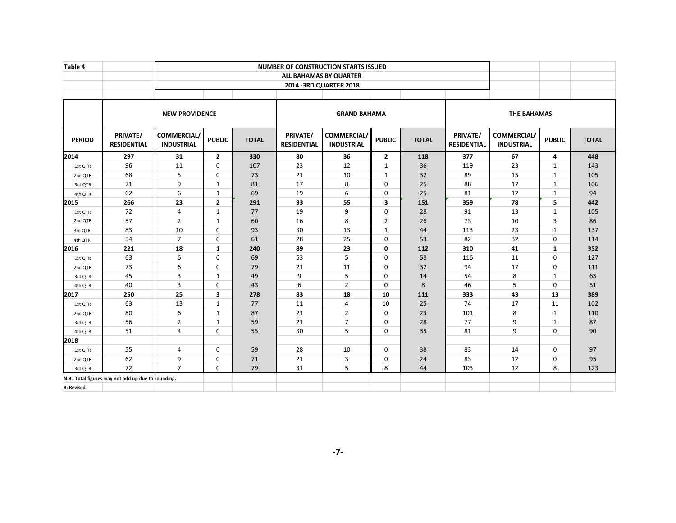| Table 4           |                                                     |                                  |                |              |                                       | <b>NUMBER OF CONSTRUCTION STARTS ISSUED</b><br>ALL BAHAMAS BY QUARTER |                |              |                                |                                  |               |              |
|-------------------|-----------------------------------------------------|----------------------------------|----------------|--------------|---------------------------------------|-----------------------------------------------------------------------|----------------|--------------|--------------------------------|----------------------------------|---------------|--------------|
|                   |                                                     |                                  |                |              |                                       | 2014 - 3RD QUARTER 2018                                               |                |              |                                |                                  |               |              |
|                   |                                                     | <b>NEW PROVIDENCE</b>            |                |              |                                       | <b>GRAND BAHAMA</b>                                                   |                |              |                                | <b>THE BAHAMAS</b>               |               |              |
| <b>PERIOD</b>     | PRIVATE/<br><b>RESIDENTIAL</b>                      | COMMERCIAL/<br><b>INDUSTRIAL</b> | <b>PUBLIC</b>  | <b>TOTAL</b> | <b>PRIVATE/</b><br><b>RESIDENTIAL</b> | COMMERCIAL/<br><b>INDUSTRIAL</b>                                      | <b>PUBLIC</b>  | <b>TOTAL</b> | PRIVATE/<br><b>RESIDENTIAL</b> | COMMERCIAL/<br><b>INDUSTRIAL</b> | <b>PUBLIC</b> | <b>TOTAL</b> |
| 2014              | 297                                                 | 31                               | $\overline{2}$ | 330          | 80                                    | 36                                                                    | $\overline{2}$ | 118          | 377                            | 67                               | 4             | 448          |
| 1st QTR           | 96                                                  | 11                               | $\mathbf 0$    | 107          | 23                                    | 12                                                                    | $\mathbf{1}$   | 36           | 119                            | 23                               | $\mathbf{1}$  | 143          |
| 2nd QTR           | 68                                                  | 5                                | $\Omega$       | 73           | 21                                    | 10                                                                    | $\mathbf{1}$   | 32           | 89                             | 15                               | 1             | 105          |
| 3rd QTR           | 71                                                  | 9                                | $\mathbf{1}$   | 81           | 17                                    | 8                                                                     | $\Omega$       | 25           | 88                             | 17                               | $\mathbf{1}$  | 106          |
| 4th QTR           | 62                                                  | 6                                | 1              | 69           | 19                                    | 6                                                                     | $\mathbf 0$    | 25           | 81                             | 12                               | $\mathbf{1}$  | 94           |
| 2015              | 266                                                 | 23                               | $\overline{2}$ | 291          | 93                                    | 55                                                                    | 3              | 151          | 359                            | 78                               | 5             | 442          |
| 1st QTR           | 72                                                  | $\overline{4}$                   | 1              | 77           | 19                                    | 9                                                                     | 0              | 28           | 91                             | 13                               | 1             | 105          |
| 2nd QTR           | 57                                                  | $\overline{2}$                   | $\mathbf{1}$   | 60           | 16                                    | 8                                                                     | $\overline{2}$ | 26           | 73                             | 10                               | 3             | 86           |
| 3rd QTR           | 83                                                  | 10                               | $\Omega$       | 93           | 30                                    | 13                                                                    | 1              | 44           | 113                            | 23                               | 1             | 137          |
| 4th QTR           | 54                                                  | $\overline{7}$                   | 0              | 61           | 28                                    | 25                                                                    | 0              | 53           | 82                             | 32                               | 0             | 114          |
| 2016              | 221                                                 | 18                               | 1              | 240          | 89                                    | 23                                                                    | 0              | 112          | 310                            | 41                               | 1             | 352          |
| 1st QTR           | 63                                                  | 6                                | $\Omega$       | 69           | 53                                    | 5                                                                     | $\mathbf 0$    | 58           | 116                            | 11                               | $\mathbf 0$   | 127          |
| 2nd QTR           | 73                                                  | 6                                | $\Omega$       | 79           | 21                                    | 11                                                                    | $\Omega$       | 32           | 94                             | 17                               | $\mathbf 0$   | 111          |
| 3rd QTR           | 45                                                  | 3                                | $\mathbf{1}$   | 49           | 9                                     | 5                                                                     | $\mathbf 0$    | 14           | 54                             | 8                                | $\mathbf{1}$  | 63           |
| 4th QTR           | 40                                                  | 3                                | $\Omega$       | 43           | 6                                     | $\overline{2}$                                                        | $\Omega$       | 8            | 46                             | 5                                | $\mathbf 0$   | 51           |
| 2017              | 250                                                 | 25                               | 3              | 278          | 83                                    | 18                                                                    | 10             | 111          | 333                            | 43                               | 13            | 389          |
| 1st QTR           | 63                                                  | 13                               | 1              | 77           | 11                                    | 4                                                                     | 10             | 25           | 74                             | 17                               | 11            | 102          |
| 2nd QTR           | 80                                                  | 6                                | 1              | 87           | 21                                    | $\overline{2}$                                                        | $\Omega$       | 23           | 101                            | 8                                | $\mathbf{1}$  | 110          |
| 3rd QTR           | 56                                                  | $\overline{2}$                   | $\mathbf{1}$   | 59           | 21                                    | $\overline{7}$                                                        | $\Omega$       | 28           | 77                             | 9                                | $\mathbf{1}$  | 87           |
| 4th QTR           | 51                                                  | $\overline{4}$                   | $\mathbf 0$    | 55           | 30                                    | 5                                                                     | 0              | 35           | 81                             | 9                                | $\mathbf 0$   | 90           |
| 2018              |                                                     |                                  |                |              |                                       |                                                                       |                |              |                                |                                  |               |              |
| 1st QTR           | 55                                                  | $\overline{4}$                   | $\mathbf 0$    | 59           | 28                                    | 10                                                                    | 0              | 38           | 83                             | 14                               | 0             | 97           |
| 2nd QTR           | 62                                                  | 9                                | 0              | 71           | 21                                    | 3                                                                     | 0              | 24           | 83                             | 12                               | 0             | 95           |
| 3rd QTR           | 72                                                  | $\overline{7}$                   | $\mathbf 0$    | 79           | 31                                    | 5                                                                     | 8              | 44           | 103                            | 12                               | 8             | 123          |
|                   | N.B.: Total figures may not add up due to rounding. |                                  |                |              |                                       |                                                                       |                |              |                                |                                  |               |              |
| <b>R: Revised</b> |                                                     |                                  |                |              |                                       |                                                                       |                |              |                                |                                  |               |              |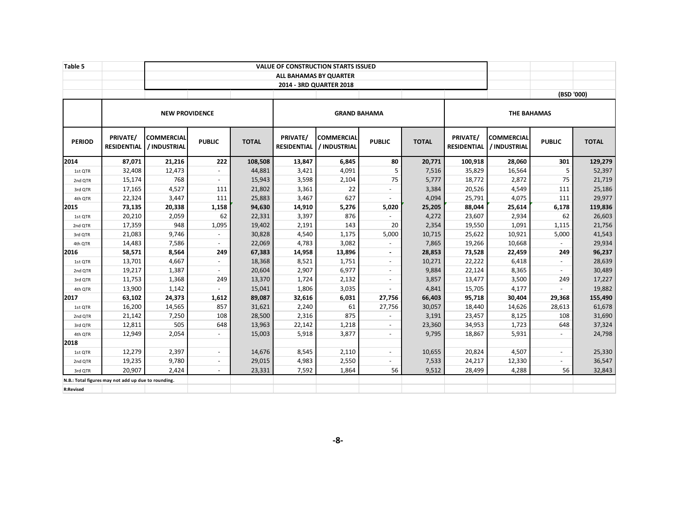| Table 5          |                                                     |                            |                |              |                                | <b>VALUE OF CONSTRUCTION STARTS ISSUED</b> |                     |              |                                |                                   |                |              |
|------------------|-----------------------------------------------------|----------------------------|----------------|--------------|--------------------------------|--------------------------------------------|---------------------|--------------|--------------------------------|-----------------------------------|----------------|--------------|
|                  |                                                     |                            |                |              |                                | ALL BAHAMAS BY QUARTER                     |                     |              |                                |                                   |                |              |
|                  |                                                     |                            |                |              |                                | 2014 - 3RD QUARTER 2018                    |                     |              |                                |                                   |                |              |
|                  |                                                     |                            |                |              |                                |                                            |                     |              |                                |                                   | (BSD '000)     |              |
|                  |                                                     | <b>NEW PROVIDENCE</b>      |                |              |                                |                                            | <b>GRAND BAHAMA</b> |              |                                | <b>THE BAHAMAS</b>                |                |              |
| <b>PERIOD</b>    | <b>PRIVATE/</b><br><b>RESIDENTIAL</b>               | COMMERCIAL<br>/ INDUSTRIAL | <b>PUBLIC</b>  | <b>TOTAL</b> | PRIVATE/<br><b>RESIDENTIAL</b> | <b>COMMERCIAL</b><br>/ INDUSTRIAL          | <b>PUBLIC</b>       | <b>TOTAL</b> | PRIVATE/<br><b>RESIDENTIAL</b> | <b>COMMERCIAL</b><br>/ INDUSTRIAL | <b>PUBLIC</b>  | <b>TOTAL</b> |
| 2014             | 87,071                                              | 21,216                     | 222            | 108,508      | 13,847                         | 6,845                                      | 80                  | 20,771       | 100,918                        | 28,060                            | 301            | 129,279      |
| 1st QTR          | 32,408                                              | 12,473                     | $\sim$         | 44,881       | 3,421                          | 4,091                                      | 5                   | 7,516        | 35,829                         | 16,564                            | 5              | 52,397       |
| 2nd QTR          | 15,174                                              | 768                        | $\sim$         | 15,943       | 3,598                          | 2,104                                      | 75                  | 5,777        | 18,772                         | 2,872                             | 75             | 21,719       |
| 3rd QTR          | 17,165                                              | 4,527                      | 111            | 21,802       | 3,361                          | 22                                         |                     | 3,384        | 20,526                         | 4,549                             | 111            | 25,186       |
| 4th QTR          | 22,324                                              | 3,447                      | 111            | 25,883       | 3,467                          | 627                                        |                     | 4,094        | 25,791                         | 4,075                             | 111            | 29,977       |
| 2015             | 73,135                                              | 20,338                     | 1,158          | 94,630       | 14,910                         | 5,276                                      | 5,020               | 25,205       | 88,044                         | 25,614                            | 6,178          | 119,836      |
| 1st QTR          | 20,210                                              | 2,059                      | 62             | 22,331       | 3,397                          | 876                                        |                     | 4,272        | 23,607                         | 2,934                             | 62             | 26,603       |
| 2nd QTR          | 17,359                                              | 948                        | 1,095          | 19,402       | 2,191                          | 143                                        | 20                  | 2,354        | 19,550                         | 1,091                             | 1,115          | 21,756       |
| 3rd QTR          | 21,083                                              | 9,746                      | $\blacksquare$ | 30,828       | 4,540                          | 1,175                                      | 5,000               | 10,715       | 25,622                         | 10,921                            | 5,000          | 41,543       |
| 4th QTR          | 14,483                                              | 7,586                      | $\overline{a}$ | 22,069       | 4,783                          | 3,082                                      |                     | 7,865        | 19,266                         | 10,668                            |                | 29,934       |
| 2016             | 58,571                                              | 8,564                      | 249            | 67,383       | 14,958                         | 13,896                                     | $\blacksquare$      | 28,853       | 73,528                         | 22,459                            | 249            | 96,237       |
| 1st QTR          | 13,701                                              | 4,667                      | $\blacksquare$ | 18,368       | 8,521                          | 1,751                                      | $\blacksquare$      | 10,271       | 22,222                         | 6,418                             | $\blacksquare$ | 28,639       |
| 2nd QTR          | 19,217                                              | 1,387                      | $\blacksquare$ | 20,604       | 2,907                          | 6,977                                      | $\omega$            | 9,884        | 22,124                         | 8,365                             | $\blacksquare$ | 30,489       |
| 3rd QTR          | 11,753                                              | 1,368                      | 249            | 13,370       | 1,724                          | 2,132                                      | $\blacksquare$      | 3,857        | 13,477                         | 3,500                             | 249            | 17,227       |
| 4th QTR          | 13,900                                              | 1,142                      |                | 15,041       | 1,806                          | 3,035                                      |                     | 4,841        | 15,705                         | 4,177                             |                | 19,882       |
| 2017             | 63,102                                              | 24,373                     | 1,612          | 89,087       | 32,616                         | 6,031                                      | 27,756              | 66,403       | 95,718                         | 30,404                            | 29,368         | 155,490      |
| 1st QTR          | 16,200                                              | 14,565                     | 857            | 31,621       | 2,240                          | 61                                         | 27,756              | 30,057       | 18,440                         | 14,626                            | 28,613         | 61,678       |
| 2nd QTR          | 21,142                                              | 7,250                      | 108            | 28,500       | 2,316                          | 875                                        |                     | 3,191        | 23,457                         | 8,125                             | 108            | 31,690       |
| 3rd QTR          | 12,811                                              | 505                        | 648            | 13,963       | 22,142                         | 1,218                                      | $\omega$            | 23,360       | 34,953                         | 1,723                             | 648            | 37,324       |
| 4th QTR          | 12,949                                              | 2,054                      | $\sim$         | 15,003       | 5,918                          | 3,877                                      | $\sim$              | 9,795        | 18,867                         | 5,931                             | $\overline{a}$ | 24,798       |
| 2018             |                                                     |                            |                |              |                                |                                            |                     |              |                                |                                   |                |              |
| 1st QTR          | 12,279                                              | 2,397                      | $\blacksquare$ | 14,676       | 8,545                          | 2,110                                      | $\omega$            | 10,655       | 20,824                         | 4,507                             | $\blacksquare$ | 25,330       |
| 2nd QTR          | 19,235                                              | 9,780                      | $\blacksquare$ | 29,015       | 4,983                          | 2,550                                      | $\sim$              | 7,533        | 24,217                         | 12,330                            | ÷.             | 36,547       |
| 3rd QTR          | 20,907                                              | 2,424                      |                | 23,331       | 7,592                          | 1,864                                      | 56                  | 9,512        | 28,499                         | 4,288                             | 56             | 32,843       |
|                  | N.B.: Total figures may not add up due to rounding. |                            |                |              |                                |                                            |                     |              |                                |                                   |                |              |
| <b>R:Revised</b> |                                                     |                            |                |              |                                |                                            |                     |              |                                |                                   |                |              |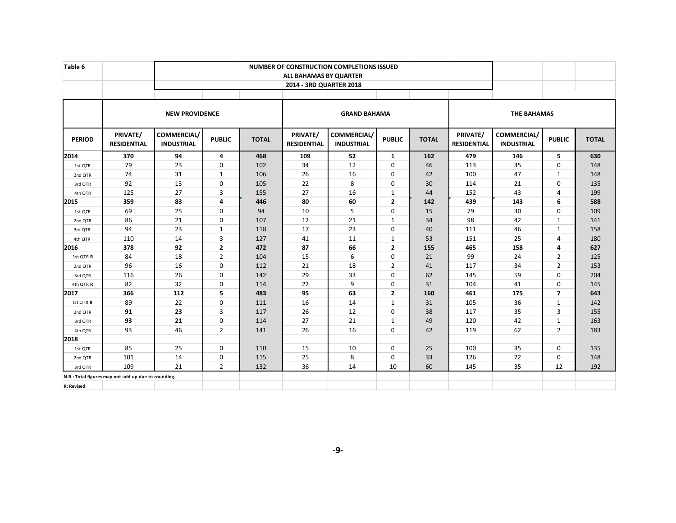| Table 6           |                                                     |                                         |                |              |                                |                                         |                |              |                                |                                  |                |              |
|-------------------|-----------------------------------------------------|-----------------------------------------|----------------|--------------|--------------------------------|-----------------------------------------|----------------|--------------|--------------------------------|----------------------------------|----------------|--------------|
|                   |                                                     |                                         |                |              | ALL BAHAMAS BY QUARTER         |                                         |                |              |                                |                                  |                |              |
|                   |                                                     |                                         |                |              | 2014 - 3RD QUARTER 2018        |                                         |                |              |                                |                                  |                |              |
|                   |                                                     |                                         |                |              |                                |                                         |                |              |                                |                                  |                |              |
|                   |                                                     | <b>NEW PROVIDENCE</b>                   |                |              |                                | <b>GRAND BAHAMA</b>                     |                |              |                                | <b>THE BAHAMAS</b>               |                |              |
| <b>PERIOD</b>     | PRIVATE/<br><b>RESIDENTIAL</b>                      | <b>COMMERCIAL/</b><br><b>INDUSTRIAL</b> | <b>PUBLIC</b>  | <b>TOTAL</b> | PRIVATE/<br><b>RESIDENTIAL</b> | <b>COMMERCIAL/</b><br><b>INDUSTRIAL</b> | <b>PUBLIC</b>  | <b>TOTAL</b> | PRIVATE/<br><b>RESIDENTIAL</b> | COMMERCIAL/<br><b>INDUSTRIAL</b> | <b>PUBLIC</b>  | <b>TOTAL</b> |
| 2014              | 370                                                 | 94                                      | 4              | 468          | 109                            | 52                                      | 1              | 162          | 479                            | 146                              | 5              | 630          |
| 1st QTR           | 79                                                  | 23                                      | $\mathbf 0$    | 102          | 34                             | 12                                      | $\mathbf 0$    | 46           | 113                            | 35                               | $\mathbf 0$    | 148          |
| 2nd QTR           | 74                                                  | 31                                      | $\mathbf{1}$   | 106          | 26                             | 16                                      | $\Omega$       | 42           | 100                            | 47                               | $\mathbf{1}$   | 148          |
| 3rd QTR           | 92                                                  | 13                                      | $\mathbf 0$    | 105          | 22                             | 8                                       | $\mathbf 0$    | 30           | 114                            | 21                               | $\mathbf 0$    | 135          |
| 4th QTR           | 125                                                 | 27                                      | 3              | 155          | 27                             | 16                                      | 1              | 44           | 152                            | 43                               | 4              | 199          |
| 2015              | 359                                                 | 83                                      | $\overline{a}$ | 446          | 80                             | 60                                      | $\overline{2}$ | 142          | 439                            | 143                              | 6              | 588          |
| 1st QTR           | 69                                                  | 25                                      | $\mathbf 0$    | 94           | 10                             | 5                                       | $\Omega$       | 15           | 79                             | 30                               | $\Omega$       | 109          |
| 2nd QTR           | 86                                                  | 21                                      | $\mathbf 0$    | 107          | 12                             | 21                                      | $\mathbf{1}$   | 34           | 98                             | 42                               | $\mathbf{1}$   | 141          |
| 3rd QTR           | 94                                                  | 23                                      | $\mathbf{1}$   | 118          | 17                             | 23                                      | $\mathbf 0$    | 40           | 111                            | 46                               | $\mathbf{1}$   | 158          |
| 4th QTR           | 110                                                 | 14                                      | 3              | 127          | 41                             | 11                                      | 1              | 53           | 151                            | 25                               | $\overline{4}$ | 180          |
| 2016              | 378                                                 | 92                                      | $\overline{2}$ | 472          | 87                             | 66                                      | $\overline{2}$ | 155          | 465                            | 158                              | 4              | 627          |
| 1st QTR R         | 84                                                  | 18                                      | $\overline{2}$ | 104          | 15                             | 6                                       | 0              | 21           | 99                             | 24                               | $\overline{2}$ | 125          |
| 2nd QTR           | 96                                                  | 16                                      | $\mathbf 0$    | 112          | 21                             | 18                                      | 2              | 41           | 117                            | 34                               | $\overline{2}$ | 153          |
| 3rd QTR           | 116                                                 | 26                                      | $\mathbf 0$    | 142          | 29                             | 33                                      | $\mathbf 0$    | 62           | 145                            | 59                               | $\Omega$       | 204          |
| 4th QTR R         | 82                                                  | 32                                      | $\mathbf 0$    | 114          | 22                             | 9                                       | $\mathbf 0$    | 31           | 104                            | 41                               | $\Omega$       | 145          |
| 2017              | 366                                                 | 112                                     | 5              | 483          | 95                             | 63                                      | $\overline{2}$ | 160          | 461                            | 175                              | $\overline{7}$ | 643          |
| Ist QTR R         | 89                                                  | 22                                      | $\mathbf 0$    | 111          | 16                             | 14                                      | $\mathbf{1}$   | 31           | 105                            | 36                               | $\mathbf{1}$   | 142          |
| 2nd QTR           | 91                                                  | 23                                      | 3              | 117          | 26                             | 12                                      | $\mathbf 0$    | 38           | 117                            | 35                               | 3              | 155          |
| 3rd QTR           | 93                                                  | 21                                      | $\mathbf 0$    | 114          | 27                             | 21                                      | $\mathbf{1}$   | 49           | 120                            | 42                               | $\mathbf{1}$   | 163          |
| 4th QTR           | 93                                                  | 46                                      | $\overline{2}$ | 141          | 26                             | 16                                      | $\Omega$       | 42           | 119                            | 62                               | $\overline{2}$ | 183          |
| 2018              |                                                     |                                         |                |              |                                |                                         |                |              |                                |                                  |                |              |
| 1st QTR           | 85                                                  | 25                                      | $\Omega$       | 110          | 15                             | 10                                      | $\Omega$       | 25           | 100                            | 35                               | $\Omega$       | 135          |
| 2nd QTR           | 101                                                 | 14                                      | $\mathbf 0$    | 115          | 25                             | 8                                       | $\mathbf 0$    | 33           | 126                            | 22                               | $\mathbf 0$    | 148          |
| 3rd QTR           | 109                                                 | 21                                      | $\overline{2}$ | 132          | 36                             | 14                                      | 10             | 60           | 145                            | 35                               | 12             | 192          |
|                   | N.B.: Total figures may not add up due to rounding. |                                         |                |              |                                |                                         |                |              |                                |                                  |                |              |
| <b>R: Revised</b> |                                                     |                                         |                |              |                                |                                         |                |              |                                |                                  |                |              |